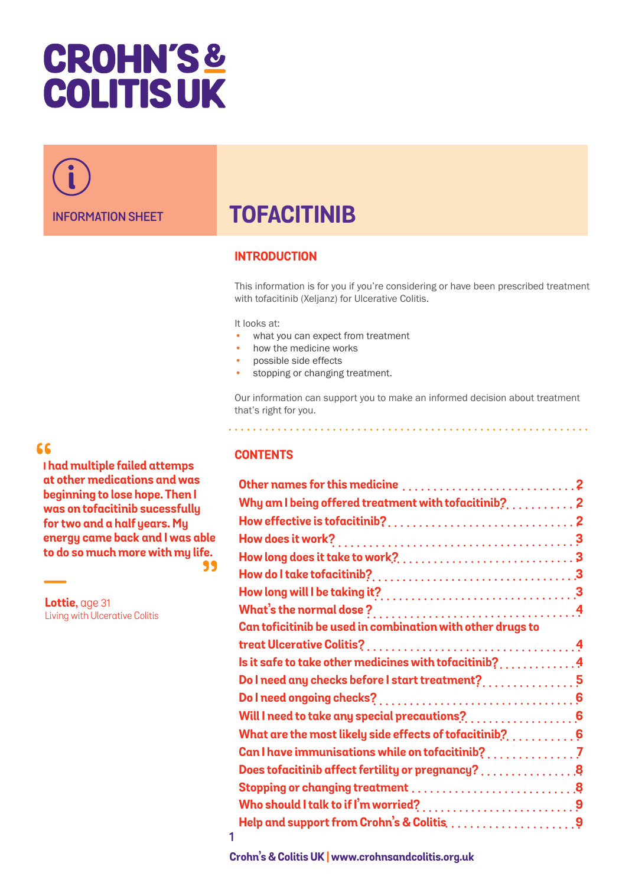# **CROHN'S& COLITIS UK**

**INFORMATION SHEET**

## **TOFACITINIB**

### **INTRODUCTION**

This information is for you if you're considering or have been prescribed treatment with tofacitinib (Xeljanz) for Ulcerative Colitis.

It looks at:

- what you can expect from treatment
- how the medicine works
- possible side effects
- stopping or changing treatment.

Our information can support you to make an informed decision about treatment that's right for you.

66

**I had multiple failed attemps at other medications and was beginning to lose hope. Then I was on tofacitinib sucessfully for two and a half years. My energy came back and I was able to do so much more with my life.** 

**Lottie**, age 31 Living with Ulcerative Colitis

#### **CONTENTS**

| Why am I being offered treatment with tofacitinib? $\ldots, \ldots, 2$               |  |
|--------------------------------------------------------------------------------------|--|
|                                                                                      |  |
|                                                                                      |  |
|                                                                                      |  |
|                                                                                      |  |
|                                                                                      |  |
|                                                                                      |  |
|                                                                                      |  |
| Can toficitinib be used in combination with other drugs to                           |  |
|                                                                                      |  |
| Is it safe to take other medicines with tofacitinib? $\dots\dots\dots\dots$          |  |
| Do I need any checks before I start treatment? $\dots\dots\dots\dots5$               |  |
|                                                                                      |  |
| Will I need to take any special precautions? $\ldots, \ldots, \ldots, 6$             |  |
| What are the most likely side effects of tofacitinib?. $\dots\dots\dots$             |  |
| Can I have immunisations while on tofacitinib?                                       |  |
| Does tofacitinib affect fertility or pregnancy? $\ldots, \ldots, \ldots, 8$          |  |
| Stopping or changing treatment  8                                                    |  |
| Who should I talk to if I'm worried?9                                                |  |
| Help and support from Crohn's & Colitis, $\ldots \ldots \ldots \ldots \ldots \ldots$ |  |
|                                                                                      |  |

**Crohn's & Colitis UK | www.crohnsandcolitis.org.uk**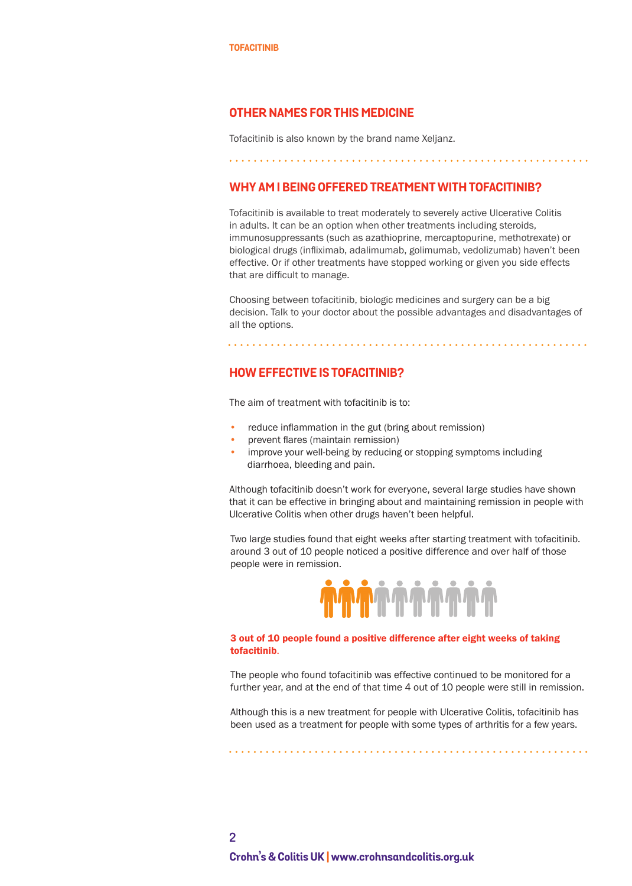#### <span id="page-1-0"></span>**OTHER NAMES FOR THIS MEDICINE**

Tofacitinib is also known by the brand name Xeljanz.

#### **WHY AM I BEING OFFERED TREATMENT WITH TOFACITINIB?**

Tofacitinib is available to treat moderately to severely active Ulcerative Colitis in adults. It can be an option when other treatments including steroids, immunosuppressants (such as azathioprine, mercaptopurine, methotrexate) or biological drugs (infliximab, adalimumab, golimumab, vedolizumab) haven't been effective. Or if other treatments have stopped working or given you side effects that are difficult to manage.

Choosing between tofacitinib, biologic medicines and surgery can be a big decision. Talk to your doctor about the possible advantages and disadvantages of all the options.

**HOW EFFECTIVE IS TOFACITINIB?** 

The aim of treatment with tofacitinib is to:

- reduce inflammation in the gut (bring about remission)
- prevent flares (maintain remission)
- improve your well-being by reducing or stopping symptoms including diarrhoea, bleeding and pain.

Although tofacitinib doesn't work for everyone, several large studies have shown that it can be effective in bringing about and maintaining remission in people with Ulcerative Colitis when other drugs haven't been helpful.

Two large studies found that eight weeks after starting treatment with tofacitinib. around 3 out of 10 people noticed a positive difference and over half of those people were in remission.



#### 3 out of 10 people found a positive difference after eight weeks of taking tofacitinib.

The people who found tofacitinib was effective continued to be monitored for a further year, and at the end of that time 4 out of 10 people were still in remission.

Although this is a new treatment for people with Ulcerative Colitis, tofacitinib has been used as a treatment for people with some types of arthritis for a few years.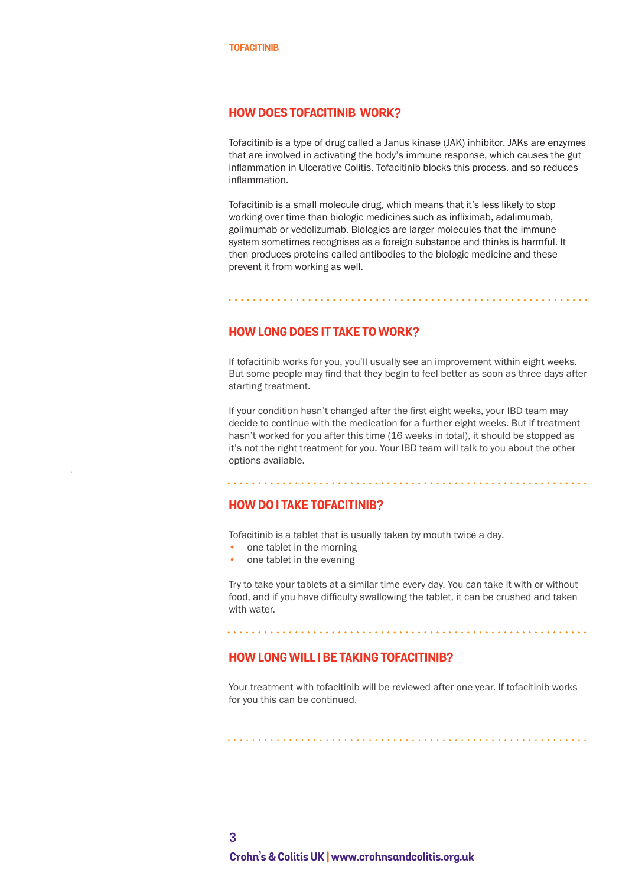#### <span id="page-2-0"></span>**HOW DOES TOFACITINIB WORK?**

Tofacitinib is a type of drug called a Janus kinase (JAK) inhibitor. JAKs are enzymes that are involved in activating the body's immune response, which causes the gut inflammation in Ulcerative Colitis. Tofacitinib blocks this process, and so reduces inflammation.

Tofacitinib is a small molecule drug, which means that it's less likely to stop working over time than biologic medicines such as infliximab, adalimumab, golimumab or vedolizumab. Biologics are larger molecules that the immune system sometimes recognises as a foreign substance and thinks is harmful. It then produces proteins called antibodies to the biologic medicine and these prevent it from working as well.

#### **HOW LONG DOES IT TAKE TO WORK?**

If tofacitinib works for you, you'll usually see an improvement within eight weeks. But some people may find that they begin to feel better as soon as three days after starting treatment.

If your condition hasn't changed after the first eight weeks, your IBD team may decide to continue with the medication for a further eight weeks. But if treatment hasn't worked for you after this time (16 weeks in total), it should be stopped as it's not the right treatment for you. Your IBD team will talk to you about the other options available.

#### **HOW DO I TAKE TOFACITINIB?**

Tofacitinib is a tablet that is usually taken by mouth twice a day.

- one tablet in the morning
- one tablet in the evening

Try to take your tablets at a similar time every day. You can take it with or without food, and if you have difficulty swallowing the tablet, it can be crushed and taken with water.

#### **HOW LONG WILL I BE TAKING TOFACITINIB?**

Your treatment with tofacitinib will be reviewed after one year. If tofacitinib works for you this can be continued.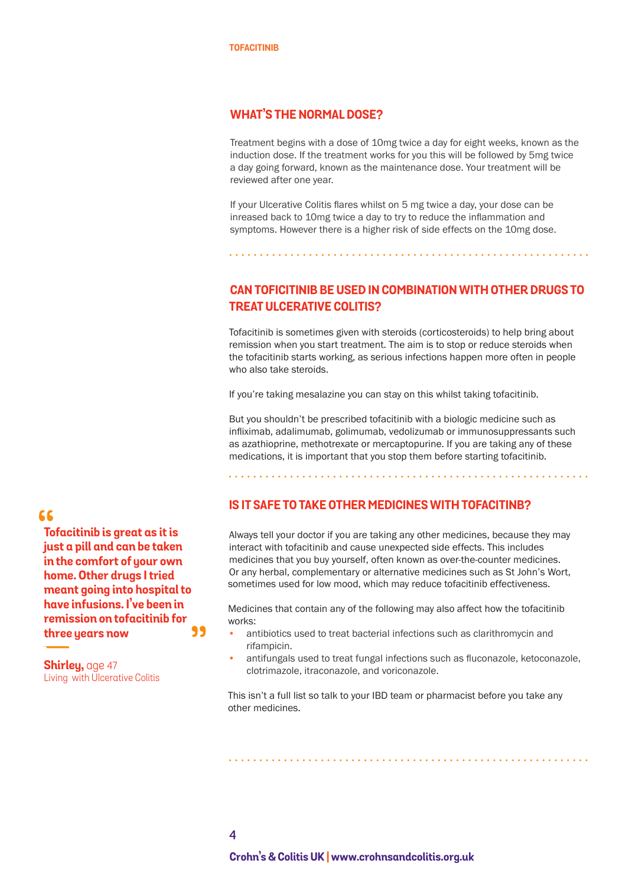#### <span id="page-3-0"></span>**WHAT'S THE NORMAL DOSE?**

Treatment begins with a dose of 10mg twice a day for eight weeks, known as the induction dose. If the treatment works for you this will be followed by 5mg twice a day going forward, known as the maintenance dose. Your treatment will be reviewed after one year.

If your Ulcerative Colitis flares whilst on 5 mg twice a day, your dose can be inreased back to 10mg twice a day to try to reduce the inflammation and symptoms. However there is a higher risk of side effects on the 10mg dose.

**CAN TOFICITINIB BE USED IN COMBINATION WITH OTHER DRUGS TO TREAT ULCERATIVE COLITIS?**

Tofacitinib is sometimes given with steroids (corticosteroids) to help bring about remission when you start treatment. The aim is to stop or reduce steroids when the tofacitinib starts working, as serious infections happen more often in people who also take steroids.

If you're taking mesalazine you can stay on this whilst taking tofacitinib.

But you shouldn't be prescribed tofacitinib with a biologic medicine such as infliximab, adalimumab, golimumab, vedolizumab or immunosuppressants such as azathioprine, methotrexate or mercaptopurine. If you are taking any of these medications, it is important that you stop them before starting tofacitinib.

**IS IT SAFE TO TAKE OTHER MEDICINES WITH TOFACITINB?** 

Always tell your doctor if you are taking any other medicines, because they may interact with tofacitinib and cause unexpected side effects. This includes medicines that you buy yourself, often known as over-the-counter medicines. Or any herbal, complementary or alternative medicines such as St John's Wort, sometimes used for low mood, which may reduce tofacitinib effectiveness.

Medicines that contain any of the following may also affect how the tofacitinib works:

- antibiotics used to treat bacterial infections such as clarithromycin and rifampicin.
- antifungals used to treat fungal infections such as fluconazole, ketoconazole, clotrimazole, itraconazole, and voriconazole.

This isn't a full list so talk to your IBD team or pharmacist before you take any other medicines.

66

**Tofacitinib is great as it is just a pill and can be taken in the comfort of your own home. Other drugs I tried meant going into hospital to have infusions. I've been in remission on tofacitinib for**  99 **three years now**

**Shirley,** age 47 Living with Ulcerative Colitis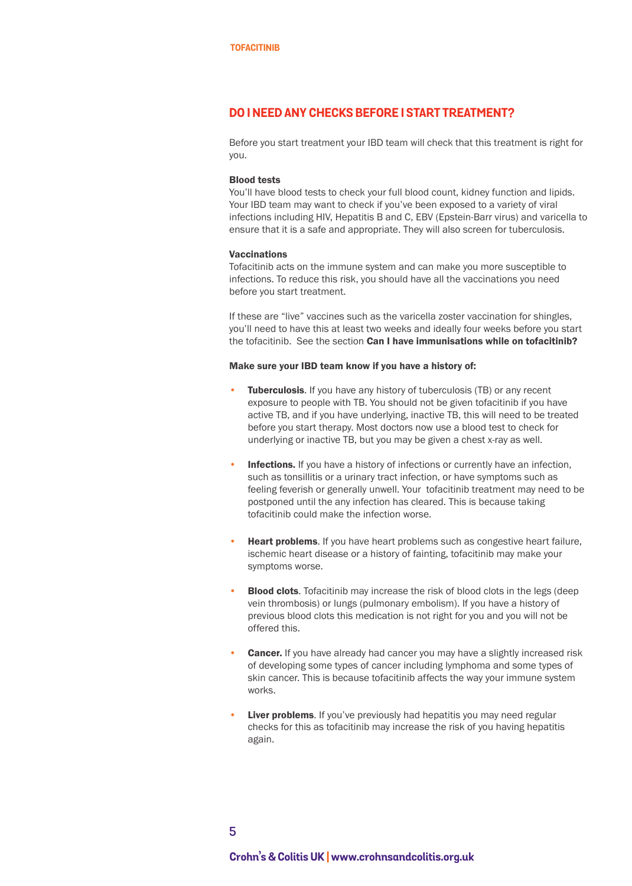#### <span id="page-4-0"></span>**DO I NEED ANY CHECKS BEFORE I START TREATMENT?**

Before you start treatment your IBD team will check that this treatment is right for you.

#### Blood tests

You'll have blood tests to check your full blood count, kidney function and lipids. Your IBD team may want to check if you've been exposed to a variety of viral infections including HIV, Hepatitis B and C, EBV (Epstein-Barr virus) and varicella to ensure that it is a safe and appropriate. They will also screen for tuberculosis.

#### Vaccinations

Tofacitinib acts on the immune system and can make you more susceptible to infections. To reduce this risk, you should have all the vaccinations you need before you start treatment.

If these are "live" vaccines such as the varicella zoster vaccination for shingles, you'll need to have this at least two weeks and ideally four weeks before you start the tofacitinib. See the section **Can I have immunisations while on tofacitinib?** 

#### Make sure your IBD team know if you have a history of:

- **Tuberculosis.** If you have any history of tuberculosis (TB) or any recent exposure to people with TB. You should not be given tofacitinib if you have active TB, and if you have underlying, inactive TB, this will need to be treated before you start therapy. Most doctors now use a blood test to check for underlying or inactive TB, but you may be given a chest x-ray as well.
- Infections. If you have a history of infections or currently have an infection, such as tonsillitis or a urinary tract infection, or have symptoms such as feeling feverish or generally unwell. Your tofacitinib treatment may need to be postponed until the any infection has cleared. This is because taking tofacitinib could make the infection worse.
- Heart problems. If you have heart problems such as congestive heart failure, ischemic heart disease or a history of fainting, tofacitinib may make your symptoms worse.
- **Blood clots**. Tofacitinib may increase the risk of blood clots in the legs (deep vein thrombosis) or lungs (pulmonary embolism). If you have a history of previous blood clots this medication is not right for you and you will not be offered this.
- **Cancer.** If you have already had cancer you may have a slightly increased risk of developing some types of cancer including lymphoma and some types of skin cancer. This is because tofacitinib affects the way your immune system works.
- Liver problems. If you've previously had hepatitis you may need regular checks for this as tofacitinib may increase the risk of you having hepatitis again.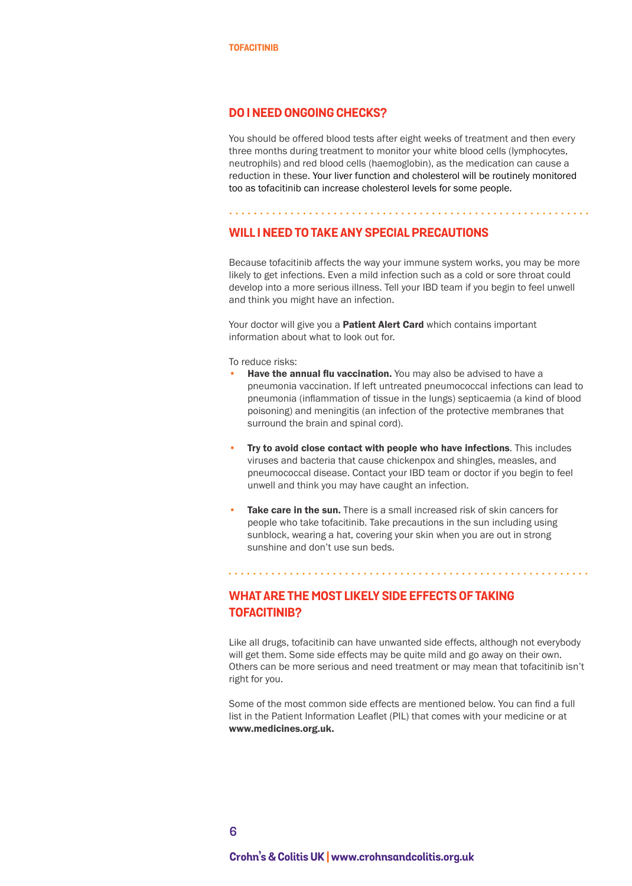#### <span id="page-5-0"></span>**DO I NEED ONGOING CHECKS?**

You should be offered blood tests after eight weeks of treatment and then every three months during treatment to monitor your white blood cells (lymphocytes, neutrophils) and red blood cells (haemoglobin), as the medication can cause a reduction in these. Your liver function and cholesterol will be routinely monitored too as tofacitinib can increase cholesterol levels for some people.

#### **WILL I NEED TO TAKE ANY SPECIAL PRECAUTIONS**

Because tofacitinib affects the way your immune system works, you may be more likely to get infections. Even a mild infection such as a cold or sore throat could develop into a more serious illness. Tell your IBD team if you begin to feel unwell and think you might have an infection.

Your doctor will give you a **[Patient Alert Card](https://www.medicines.org.uk/emc/rmm/796/Document)** which contains important information about what to look out for.

To reduce risks:

- **Have the annual flu vaccination.** You may also be advised to have a pneumonia vaccination. If left untreated pneumococcal infections can lead to pneumonia (inflammation of tissue in the lungs) septicaemia (a kind of blood poisoning) and meningitis (an infection of the protective membranes that surround the brain and spinal cord).
- Try to avoid close contact with people who have infections. This includes viruses and bacteria that cause chickenpox and shingles, measles, and pneumococcal disease. Contact your IBD team or doctor if you begin to feel unwell and think you may have caught an infection.
- Take care in the sun. There is a small increased risk of skin cancers for people who take tofacitinib. Take precautions in the sun including using sunblock, wearing a hat, covering your skin when you are out in strong sunshine and don't use sun beds.

#### **WHAT ARE THE MOST LIKELY SIDE EFFECTS OF TAKING TOFACITINIB?**

. . . . . . . . . . . . . . . . .

Like all drugs, tofacitinib can have unwanted side effects, although not everybody will get them. Some side effects may be quite mild and go away on their own. Others can be more serious and need treatment or may mean that tofacitinib isn't right for you.

Some of the most common side effects are mentioned below. You can find a full list in the Patient Information Leaflet (PIL) that comes with your medicine or at www.medicines.org.uk.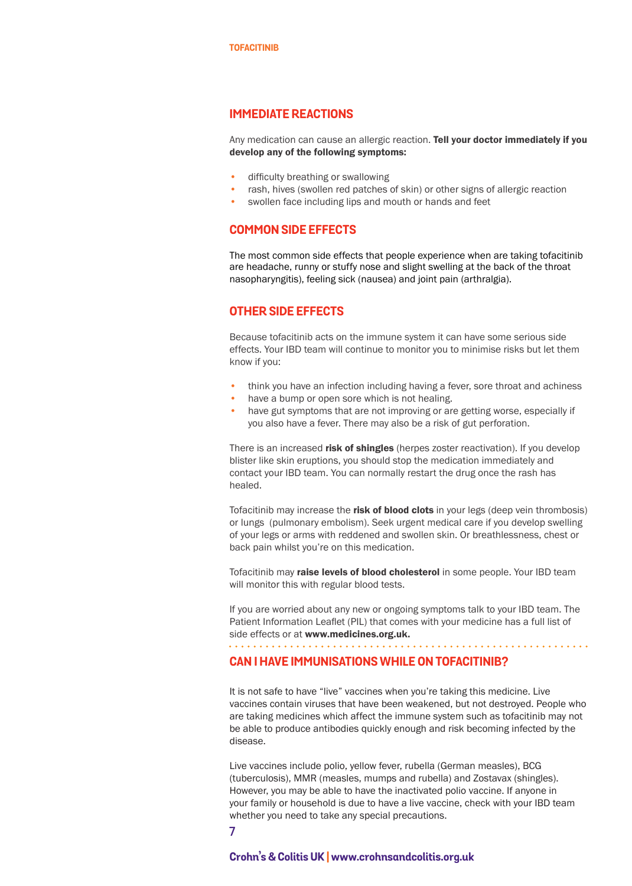#### <span id="page-6-0"></span>**IMMEDIATE REACTIONS**

Any medication can cause an allergic reaction. Tell your doctor immediately if you develop any of the following symptoms:

- difficulty breathing or swallowing
- rash, hives (swollen red patches of skin) or other signs of allergic reaction
- swollen face including lips and mouth or hands and feet

#### **COMMON SIDE EFFECTS**

The most common side effects that people experience when are taking tofacitinib are headache, runny or stuffy nose and slight swelling at the back of the throat nasopharyngitis), feeling sick (nausea) and joint pain (arthralgia).

#### **OTHER SIDE EFFECTS**

Because tofacitinib acts on the immune system it can have some serious side effects. Your IBD team will continue to monitor you to minimise risks but let them know if you:

- think you have an infection including having a fever, sore throat and achiness
- have a bump or open sore which is not healing.
- have gut symptoms that are not improving or are getting worse, especially if you also have a fever. There may also be a risk of gut perforation.

There is an increased risk of shingles (herpes zoster reactivation). If you develop blister like skin eruptions, you should stop the medication immediately and contact your IBD team. You can normally restart the drug once the rash has healed.

Tofacitinib may increase the risk of blood clots in your legs (deep vein thrombosis) or lungs (pulmonary embolism). Seek urgent medical care if you develop swelling of your legs or arms with reddened and swollen skin. Or breathlessness, chest or back pain whilst you're on this medication.

Tofacitinib may raise levels of blood cholesterol in some people. Your IBD team will monitor this with regular blood tests.

If you are worried about any new or ongoing symptoms talk to your IBD team. The Patient Information Leaflet (PIL) that comes with your medicine has a full list of side effects or at www.medicines.org.uk.

#### **CAN I HAVE IMMUNISATIONS WHILE ON TOFACITINIB?**

It is not safe to have "live" vaccines when you're taking this medicine. Live vaccines contain viruses that have been weakened, but not destroyed. People who are taking medicines which affect the immune system such as tofacitinib may not be able to produce antibodies quickly enough and risk becoming infected by the disease.

Live vaccines include polio, yellow fever, rubella (German measles), BCG (tuberculosis), MMR (measles, mumps and rubella) and Zostavax (shingles). However, you may be able to have the inactivated polio vaccine. If anyone in your family or household is due to have a live vaccine, check with your IBD team whether you need to take any special precautions.

**<sup>7</sup>**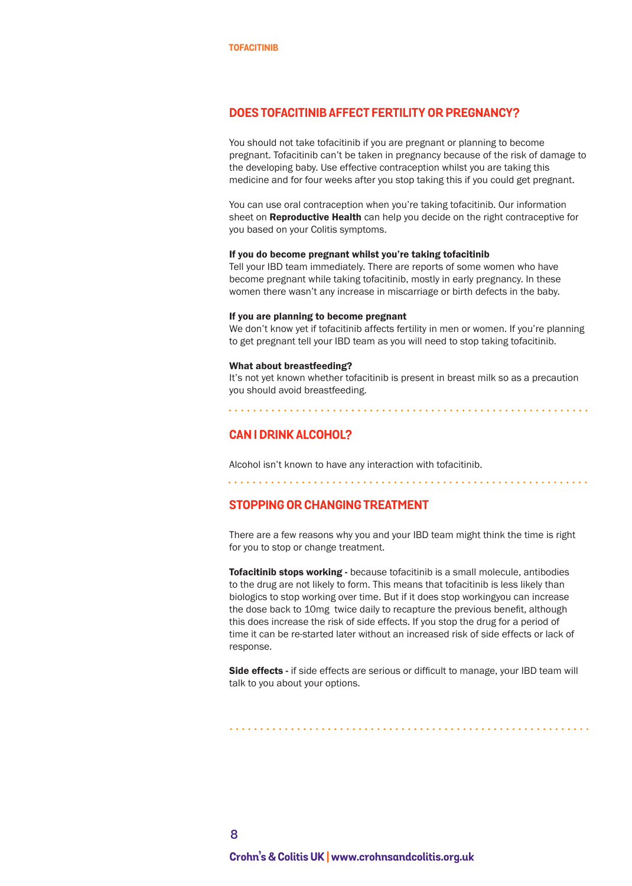#### <span id="page-7-0"></span>**DOES TOFACITINIB AFFECT FERTILITY OR PREGNANCY?**

You should not take tofacitinib if you are pregnant or planning to become pregnant. Tofacitinib can't be taken in pregnancy because of the risk of damage to the developing baby. Use effective contraception whilst you are taking this medicine and for four weeks after you stop taking this if you could get pregnant.

You can use oral contraception when you're taking tofacitinib. Our information sheet on **[Reproductive Health](http://crohnsandcolitis.org.uk/about-inflammatory-bowel-disease/publications/reproductive-health-and-ibd)** can help you decide on the right contraceptive for you based on your Colitis symptoms.

#### If you do become pregnant whilst you're taking tofacitinib

Tell your IBD team immediately. There are reports of some women who have become pregnant while taking tofacitinib, mostly in early pregnancy. In these women there wasn't any increase in miscarriage or birth defects in the baby.

#### If you are planning to become pregnant

We don't know yet if tofacitinib affects fertility in men or women. If you're planning to get pregnant tell your IBD team as you will need to stop taking tofacitinib.

#### What about breastfeeding?

It's not yet known whether tofacitinib is present in breast milk so as a precaution you should avoid breastfeeding.

. . . . . . . . . . . . . . . . . .

#### **CAN I DRINK ALCOHOL?**

Alcohol isn't known to have any interaction with tofacitinib. 

#### **STOPPING OR CHANGING TREATMENT**

There are a few reasons why you and your IBD team might think the time is right for you to stop or change treatment.

Tofacitinib stops working - because tofacitinib is a small molecule, antibodies to the drug are not likely to form. This means that tofacitinib is less likely than biologics to stop working over time. But if it does stop workingyou can increase the dose back to 10mg twice daily to recapture the previous benefit, although this does increase the risk of side effects. If you stop the drug for a period of time it can be re-started later without an increased risk of side effects or lack of response.

Side effects - if side effects are serious or difficult to manage, your IBD team will talk to you about your options.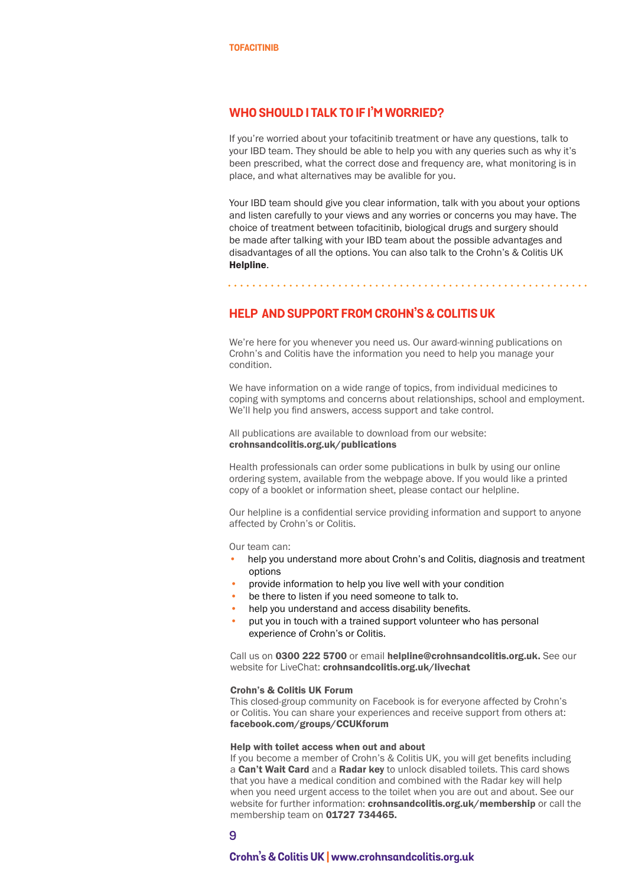#### <span id="page-8-0"></span>**WHO SHOULD I TALK TO IF I'M WORRIED?**

If you're worried about your tofacitinib treatment or have any questions, talk to your IBD team. They should be able to help you with any queries such as why it's been prescribed, what the correct dose and frequency are, what monitoring is in place, and what alternatives may be avalible for you.

Your IBD team should give you clear information, talk with you about your options and listen carefully to your views and any worries or concerns you may have. The choice of treatment between tofacitinib, biological drugs and surgery should be made after talking with your IBD team about the possible advantages and disadvantages of all the options. You can also talk to the Crohn's & Colitis UK [Helpline](https://www.crohnsandcolitis.org.uk/support/helpline).

#### **HELP AND SUPPORT FROM CROHN'S & COLITIS UK**

We're here for you whenever you need us. Our award-winning publications on Crohn's and Colitis have the information you need to help you manage your condition.

We have information on a wide range of topics, from individual medicines to coping with symptoms and concerns about relationships, school and employment. We'll help you find answers, access support and take control.

All publications are available to download from our website: [crohnsandcolitis.org.uk/publications](http://crohnsandcolitis.org.uk/publications)

Health professionals can order some publications in bulk by using our online ordering system, available from the webpage above. If you would like a printed copy of a booklet or information sheet, please contact our helpline.

Our helpline is a confidential service providing information and support to anyone affected by Crohn's or Colitis.

Our team can:

- help you understand more about Crohn's and Colitis, diagnosis and treatment options
- provide information to help you live well with your condition
- be there to listen if you need someone to talk to.
- help you understand and access disability benefits.
- put you in touch with a trained support volunteer who has personal experience of Crohn's or Colitis.

Call us on 0300 222 5700 or email helpline@crohnsandcolitis.org.uk. See our website for LiveChat: [crohnsandcolitis.org.uk/livechat](https://www.crohnsandcolitis.org.uk/support/helpline#live%20chat)

#### Crohn's & Colitis UK Forum

This closed-group community on Facebook is for everyone affected by Crohn's or Colitis. You can share your experiences and receive support from others at: [facebook.com/groups/CCUKforum](http://facebook.com/groups/CCUKforum) 

#### Help with toilet access when out and about

If you become a member of Crohn's & Colitis UK, you will get benefits including a Can't Wait Card and a Radar key to unlock disabled toilets. This card shows that you have a medical condition and combined with the Radar key will help when you need urgent access to the toilet when you are out and about. See our website for further information: [crohnsandcolitis.org.uk/membership](http://crohnsandcolitis.org.uk/membership) or call the membership team on 01727 734465.

**9**